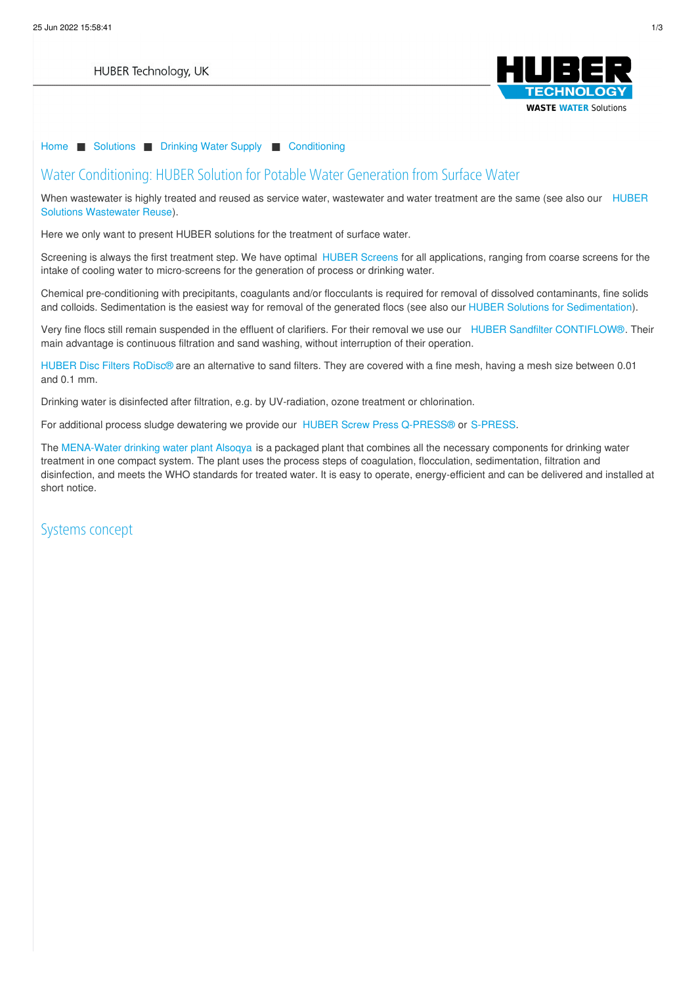

#### [Home](/) ■ [Solutions](/solutions.html) ■ [Drinking](/solutions/drinking-water-supply.html) Water Supply ■ [Conditioning](/loesungen/trinkwasser/aufbereitung.html)

#### Water Conditioning: HUBER Solution for Potable Water Generation from Surface Water

When wastewater is highly treated and reused as service water, wastewater and water treatment are the same (see also our HUBER Solutions [Wastewater](/loesungen/wasser-wiederverwendung.html) Reuse).

Here we only want to present HUBER solutions for the treatment of surface water.

Screening is always the first treatment step. We have optimal [HUBER](https://www.huber.de/products/screens-and-fine-screens.html) Screens for all applications, ranging from coarse screens for the intake of cooling water to micro-screens for the generation of process or drinking water.

Chemical pre-conditioning with precipitants, coagulants and/or flocculants is required for removal of dissolved contaminants, fine solids and colloids. Sedimentation is the easiest way for removal of the generated flocs (see also our HUBER Solutions for [Sedimentation](/loesungen/klaeranlagen/sedimentation.html)).

Very fine flocs still remain suspended in the effluent of clarifiers. For their removal we use our HUBER Sandfilter [CONTIFLOW®](https://www.huber.de/produkte/mikrosiebungfiltration/sandfiltration/huber-sandfilter-contiflowr.html). Their main advantage is continuous filtration and sand washing, without interruption of their operation.

HUBER Disc Filters [RoDisc®](termekek/mikroszuro-homokszuro/mikroszuro/huber-tarcsaszuro-rodiscr.html) are an alternative to sand filters. They are covered with a fine mesh, having a mesh size between 0.01 and 0.1 mm.

Drinking water is disinfected after filtration, e.g. by [UV-radiation,](/privacy-policy.html) ozone treatment or chlorination.

For additional process sludge dewatering we provide our HUBER Screw Press [Q-PRESS®](https://www.huber.de/products/sludge-treatment/sludge-dewatering/huber-screw-press-q-pressr.html) or [S-PRESS](https://www.huber.de/products/sludge-treatment/sludge-dewatering/huber-screw-press-s-press.html).

The [MENA-Water](http://www.mena-water.com/container/safe-drinking-water/) drinking water plant Alsoqya is a packaged plant that combines all the necessary components for drinking water treatment in one compact system. The plant uses the process steps of coagulation, flocculation, sedimentation, filtration and disinfection, and meets the WHO standards for treated water. It is easy to operate, energy-efficient and can be delivered and installed at short notice.

Systems [concep](#)t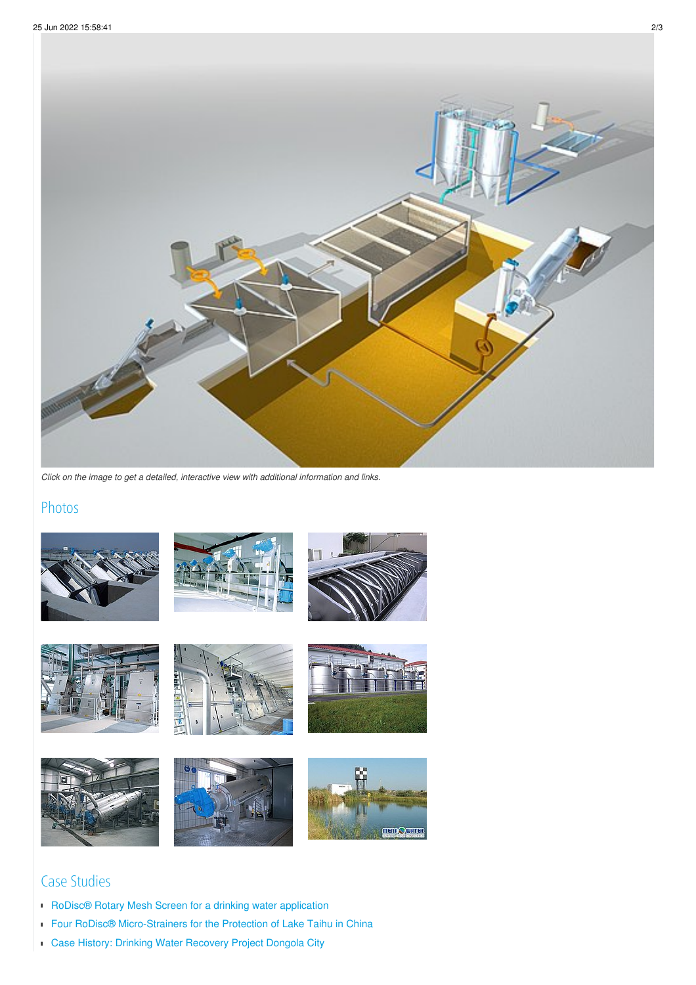

*Click on the image to get a detailed, interactive view with additional information and links.*

## Photos



















# Case Studies

- RoDisc® Rotary Mesh Screen for a drinking water [application](/huber-report/ablage-berichte/newsletter-ext/rodiscr-rotary-mesh-screen-for-a-drinking-water-application.html?L=0)
- Four RoDisc<sup>®</sup> [Micro-Strainers](/huber-report/ablage-berichte/micro-screening-filtration/four-rodiscr-micro-strainers-for-the-protection-of-lake-taihu-in-china.html?L=0) for the Protection of Lake Taihu in China
- Case History: Drinking Water [Recovery](/huber-report/ablage-berichte/micro-screening-filtration/case-history-drinking-water-recovery-project-dongola-city.html?L=0) Project Dongola City